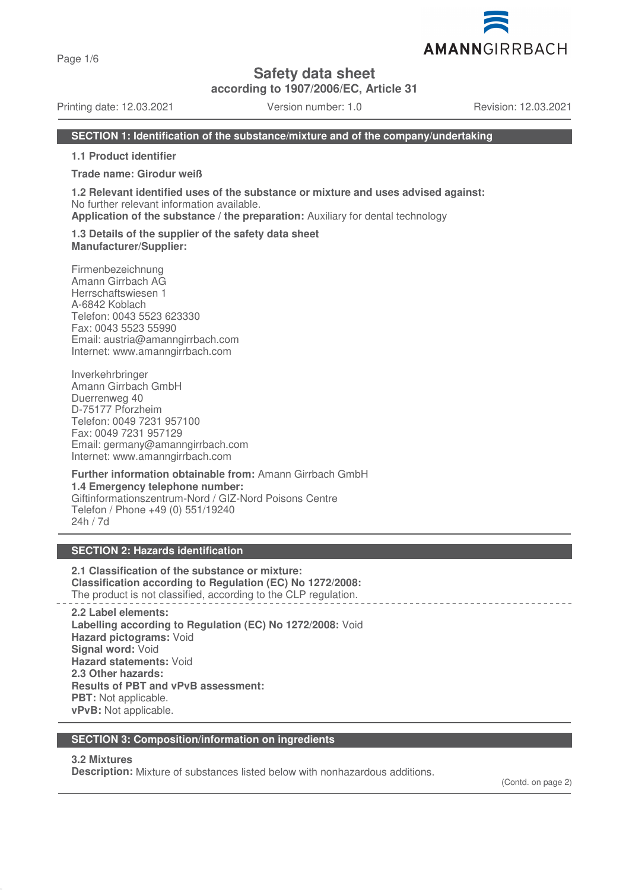Page 1/6

**Safety data sheet**

**according to 1907/2006/EC, Article 31**

Printing date: 12.03.2021 Version number: 1.0 Revision: 12.03.2021

AMANNGIRRBACH

#### **SECTION 1: Identification of the substance/mixture and of the company/undertaking**

**1.1 Product identifier**

**Trade name: Girodur weiß**

**1.2 Relevant identified uses of the substance or mixture and uses advised against:** No further relevant information available.

**Application of the substance / the preparation:** Auxiliary for dental technology

#### **1.3 Details of the supplier of the safety data sheet Manufacturer/Supplier:**

Firmenbezeichnung Amann Girrbach AG Herrschaftswiesen 1 A-6842 Koblach Telefon: 0043 5523 623330 Fax: 0043 5523 55990 Email: austria@amanngirrbach.com Internet: www.amanngirrbach.com

Inverkehrbringer Amann Girrbach GmbH Duerrenweg 40 D-75177 Pforzheim Telefon: 0049 7231 957100 Fax: 0049 7231 957129 Email: germany@amanngirrbach.com Internet: www.amanngirrbach.com

**Further information obtainable from:** Amann Girrbach GmbH **1.4 Emergency telephone number:** Giftinformationszentrum-Nord / GIZ-Nord Poisons Centre Telefon / Phone +49 (0) 551/19240 24h / 7d

### **SECTION 2: Hazards identification**

**2.1 Classification of the substance or mixture: Classification according to Regulation (EC) No 1272/2008:** The product is not classified, according to the CLP regulation.

**2.2 Label elements: Labelling according to Regulation (EC) No 1272/2008:** Void **Hazard pictograms:** Void **Signal word:** Void **Hazard statements:** Void **2.3 Other hazards: Results of PBT and vPvB assessment: PBT:** Not applicable. **vPvB:** Not applicable.

#### **SECTION 3: Composition/information on ingredients**

#### **3.2 Mixtures**

**Description:** Mixture of substances listed below with nonhazardous additions.

(Contd. on page 2)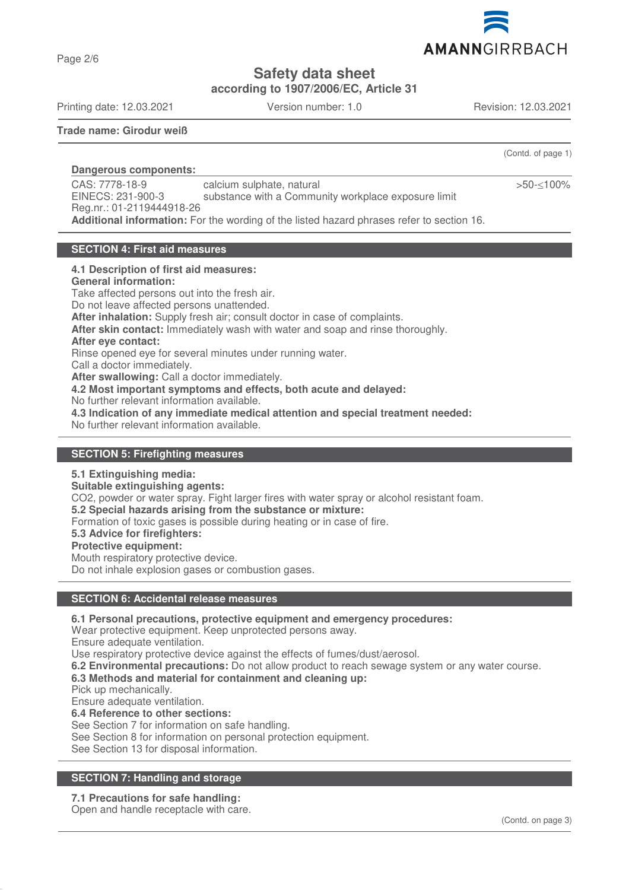

**Safety data sheet**

**according to 1907/2006/EC, Article 31**

Printing date: 12.03.2021 Version number: 1.0 Revision: 12.03.2021

Page 2/6

**Trade name: Girodur weiß**

(Contd. of page 1)

>50-≤100%

**Dangerous components:**  CAS: 7778-18-9 EINECS: 231-900-3 Reg.nr.: 01-2119444918-26 calcium sulphate, natural substance with a Community workplace exposure limit **Additional information:** For the wording of the listed hazard phrases refer to section 16.

### **SECTION 4: First aid measures**

#### **4.1 Description of first aid measures:**

**General information:**

Take affected persons out into the fresh air.

Do not leave affected persons unattended. **After inhalation:** Supply fresh air; consult doctor in case of complaints.

**After skin contact:** Immediately wash with water and soap and rinse thoroughly.

### **After eye contact:**

Rinse opened eye for several minutes under running water.

Call a doctor immediately.

**After swallowing:** Call a doctor immediately.

**4.2 Most important symptoms and effects, both acute and delayed:**

No further relevant information available.

**4.3 Indication of any immediate medical attention and special treatment needed:**

No further relevant information available.

#### **SECTION 5: Firefighting measures**

#### **5.1 Extinguishing media:**

**Suitable extinguishing agents:**

CO2, powder or water spray. Fight larger fires with water spray or alcohol resistant foam.

**5.2 Special hazards arising from the substance or mixture:**

Formation of toxic gases is possible during heating or in case of fire.

**5.3 Advice for firefighters:**

#### **Protective equipment:**

Mouth respiratory protective device.

Do not inhale explosion gases or combustion gases.

#### **SECTION 6: Accidental release measures**

**6.1 Personal precautions, protective equipment and emergency procedures:**

Wear protective equipment. Keep unprotected persons away.

Ensure adequate ventilation.

Use respiratory protective device against the effects of fumes/dust/aerosol.

**6.2 Environmental precautions:** Do not allow product to reach sewage system or any water course.

### **6.3 Methods and material for containment and cleaning up:**

Pick up mechanically.

Ensure adequate ventilation.

**6.4 Reference to other sections:**

See Section 7 for information on safe handling.

See Section 8 for information on personal protection equipment.

See Section 13 for disposal information.

### **SECTION 7: Handling and storage**

# **7.1 Precautions for safe handling:**

Open and handle receptacle with care.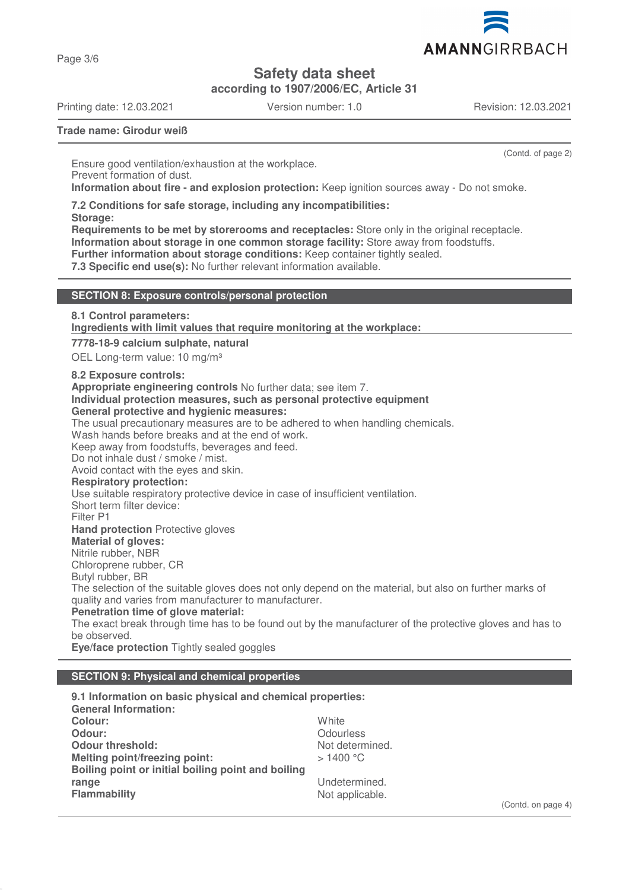

**Safety data sheet**

**according to 1907/2006/EC, Article 31**

Printing date: 12.03.2021 Version number: 1.0 Revision: 12.03.2021

Page 3/6

(Contd. of page 2)

**Trade name: Girodur weiß**

Ensure good ventilation/exhaustion at the workplace. Prevent formation of dust. **Information about fire - and explosion protection:** Keep ignition sources away - Do not smoke.

**7.2 Conditions for safe storage, including any incompatibilities:**

**Storage:**

**Requirements to be met by storerooms and receptacles:** Store only in the original receptacle. **Information about storage in one common storage facility:** Store away from foodstuffs. **Further information about storage conditions:** Keep container tightly sealed.

**7.3 Specific end use(s):** No further relevant information available.

### **SECTION 8: Exposure controls/personal protection**

**8.1 Control parameters:**

**Ingredients with limit values that require monitoring at the workplace:** 

**7778-18-9 calcium sulphate, natural**

OEL Long-term value: 10 mg/m<sup>3</sup>

#### **8.2 Exposure controls:**

**Appropriate engineering controls** No further data; see item 7.

## **Individual protection measures, such as personal protective equipment**

### **General protective and hygienic measures:**

The usual precautionary measures are to be adhered to when handling chemicals.

Wash hands before breaks and at the end of work.

Keep away from foodstuffs, beverages and feed.

Do not inhale dust / smoke / mist.

Avoid contact with the eyes and skin.

### **Respiratory protection:**

Use suitable respiratory protective device in case of insufficient ventilation.

Short term filter device:

Filter P1

**Hand protection** Protective gloves

### **Material of gloves:**

Nitrile rubber, NBR

Chloroprene rubber, CR

Butyl rubber, BR

The selection of the suitable gloves does not only depend on the material, but also on further marks of quality and varies from manufacturer to manufacturer.

**Penetration time of glove material:**

The exact break through time has to be found out by the manufacturer of the protective gloves and has to be observed.

**Eye/face protection** Tightly sealed goggles

### **SECTION 9: Physical and chemical properties**

| 9.1 Information on basic physical and chemical properties: |                 |
|------------------------------------------------------------|-----------------|
| <b>General Information:</b>                                |                 |
| Colour:                                                    | White           |
| Odour:                                                     | Odourless       |
| <b>Odour threshold:</b>                                    | Not determined. |
| Melting point/freezing point:                              | $>1400$ °C      |
| Boiling point or initial boiling point and boiling         |                 |
| range                                                      | Undetermined.   |
| <b>Flammability</b>                                        | Not applicable. |

(Contd. on page 4)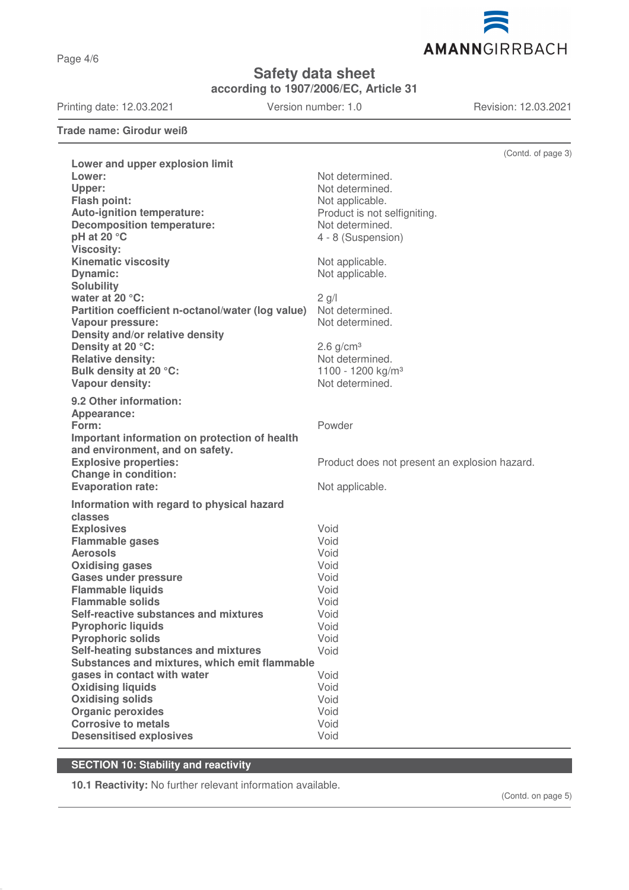Page 4/6

**Safety data sheet**

**according to 1907/2006/EC, Article 31**

Printing date: 12.03.2021 Version number: 1.0 Revision: 12.03.2021

AMANNGIRRBACH

**Trade name: Girodur weiß**

|                                                                                  | (Contd. of page 3)                            |
|----------------------------------------------------------------------------------|-----------------------------------------------|
| Lower and upper explosion limit                                                  |                                               |
| Lower:                                                                           | Not determined.                               |
| Upper:                                                                           | Not determined.                               |
| Flash point:                                                                     | Not applicable.                               |
| Auto-ignition temperature:                                                       | Product is not selfigniting.                  |
| <b>Decomposition temperature:</b>                                                | Not determined.                               |
| pH at 20 °C                                                                      | 4 - 8 (Suspension)                            |
| <b>Viscosity:</b>                                                                |                                               |
| <b>Kinematic viscosity</b>                                                       | Not applicable.                               |
| <b>Dynamic:</b>                                                                  | Not applicable.                               |
| <b>Solubility</b>                                                                |                                               |
| water at 20 °C:                                                                  | $2$ g/l                                       |
| Partition coefficient n-octanol/water (log value)                                | Not determined.<br>Not determined.            |
| <b>Vapour pressure:</b><br>Density and/or relative density                       |                                               |
| Density at 20 °C:                                                                | $2.6$ g/cm <sup>3</sup>                       |
| <b>Relative density:</b>                                                         | Not determined.                               |
| Bulk density at 20 °C:                                                           | 1100 - 1200 kg/m <sup>3</sup>                 |
| Vapour density:                                                                  | Not determined.                               |
|                                                                                  |                                               |
| 9.2 Other information:                                                           |                                               |
| Appearance:                                                                      |                                               |
| Form:                                                                            | Powder                                        |
| Important information on protection of health<br>and environment, and on safety. |                                               |
| <b>Explosive properties:</b>                                                     | Product does not present an explosion hazard. |
| <b>Change in condition:</b>                                                      |                                               |
| <b>Evaporation rate:</b>                                                         | Not applicable.                               |
|                                                                                  |                                               |
| Information with regard to physical hazard                                       |                                               |
| classes                                                                          |                                               |
| <b>Explosives</b><br><b>Flammable gases</b>                                      | Void<br>Void                                  |
| <b>Aerosols</b>                                                                  | Void                                          |
| <b>Oxidising gases</b>                                                           | Void                                          |
| <b>Gases under pressure</b>                                                      | Void                                          |
| <b>Flammable liquids</b>                                                         | Void                                          |
| <b>Flammable solids</b>                                                          | Void                                          |
| Self-reactive substances and mixtures                                            | Void                                          |
| <b>Pyrophoric liquids</b>                                                        | Void                                          |
| <b>Pyrophoric solids</b>                                                         | Void                                          |
| Self-heating substances and mixtures                                             | Void                                          |
| Substances and mixtures, which emit flammable                                    |                                               |
| gases in contact with water                                                      | Void                                          |
| <b>Oxidising liquids</b>                                                         | Void                                          |
| <b>Oxidising solids</b>                                                          | Void                                          |
| <b>Organic peroxides</b>                                                         | Void                                          |
| <b>Corrosive to metals</b>                                                       | Void                                          |
| <b>Desensitised explosives</b>                                                   | Void                                          |

# **SECTION 10: Stability and reactivity**

**10.1 Reactivity:** No further relevant information available.

(Contd. on page 5)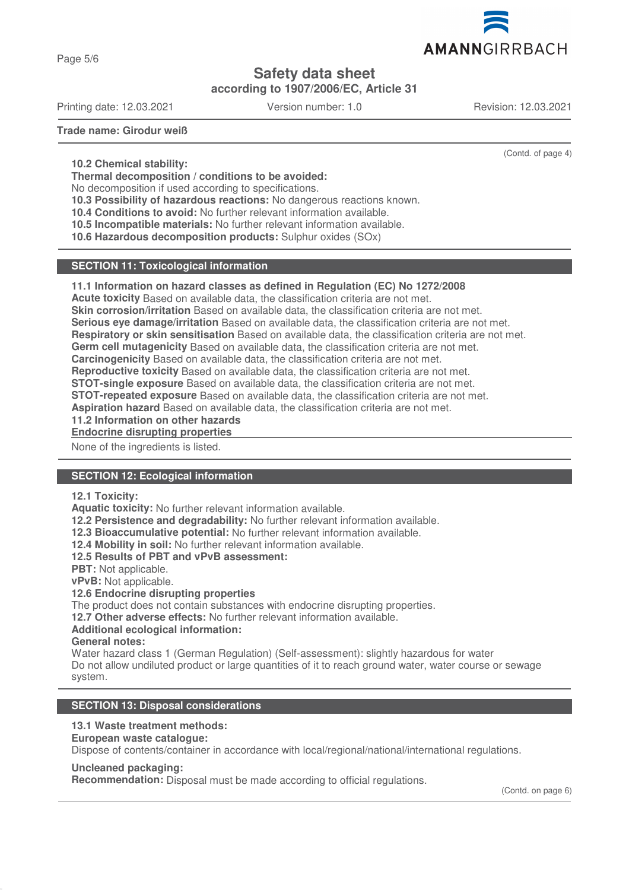

Page 5/6

# **Safety data sheet**

**according to 1907/2006/EC, Article 31**

Printing date: 12.03.2021 Version number: 1.0 Revision: 12.03.2021

(Contd. of page 4)

**Trade name: Girodur weiß**

**10.2 Chemical stability:**

**Thermal decomposition / conditions to be avoided:**

No decomposition if used according to specifications.

**10.3 Possibility of hazardous reactions:** No dangerous reactions known.

**10.4 Conditions to avoid:** No further relevant information available.

**10.5 Incompatible materials:** No further relevant information available.

**10.6 Hazardous decomposition products:** Sulphur oxides (SOx)

### **SECTION 11: Toxicological information**

### **11.1 Information on hazard classes as defined in Regulation (EC) No 1272/2008**

**Acute toxicity** Based on available data, the classification criteria are not met.

**Skin corrosion/irritation** Based on available data, the classification criteria are not met.

**Serious eye damage/irritation** Based on available data, the classification criteria are not met.

**Respiratory or skin sensitisation** Based on available data, the classification criteria are not met.

**Germ cell mutagenicity** Based on available data, the classification criteria are not met.

**Carcinogenicity** Based on available data, the classification criteria are not met.

**Reproductive toxicity** Based on available data, the classification criteria are not met.

**STOT-single exposure** Based on available data, the classification criteria are not met.

**STOT-repeated exposure** Based on available data, the classification criteria are not met.

**Aspiration hazard** Based on available data, the classification criteria are not met.

**11.2 Information on other hazards**

**Endocrine disrupting properties** 

None of the ingredients is listed.

### **SECTION 12: Ecological information**

#### **12.1 Toxicity:**

**Aquatic toxicity:** No further relevant information available.

**12.2 Persistence and degradability:** No further relevant information available.

**12.3 Bioaccumulative potential:** No further relevant information available.

**12.4 Mobility in soil:** No further relevant information available.

**12.5 Results of PBT and vPvB assessment:**

**PBT:** Not applicable.

**vPvB:** Not applicable.

#### **12.6 Endocrine disrupting properties**

The product does not contain substances with endocrine disrupting properties.

**12.7 Other adverse effects:** No further relevant information available.

### **Additional ecological information:**

**General notes:**

Water hazard class 1 (German Regulation) (Self-assessment): slightly hazardous for water Do not allow undiluted product or large quantities of it to reach ground water, water course or sewage system.

### **SECTION 13: Disposal considerations**

### **13.1 Waste treatment methods:**

**European waste catalogue:**

Dispose of contents/container in accordance with local/regional/national/international regulations.

#### **Uncleaned packaging:**

**Recommendation:** Disposal must be made according to official regulations.